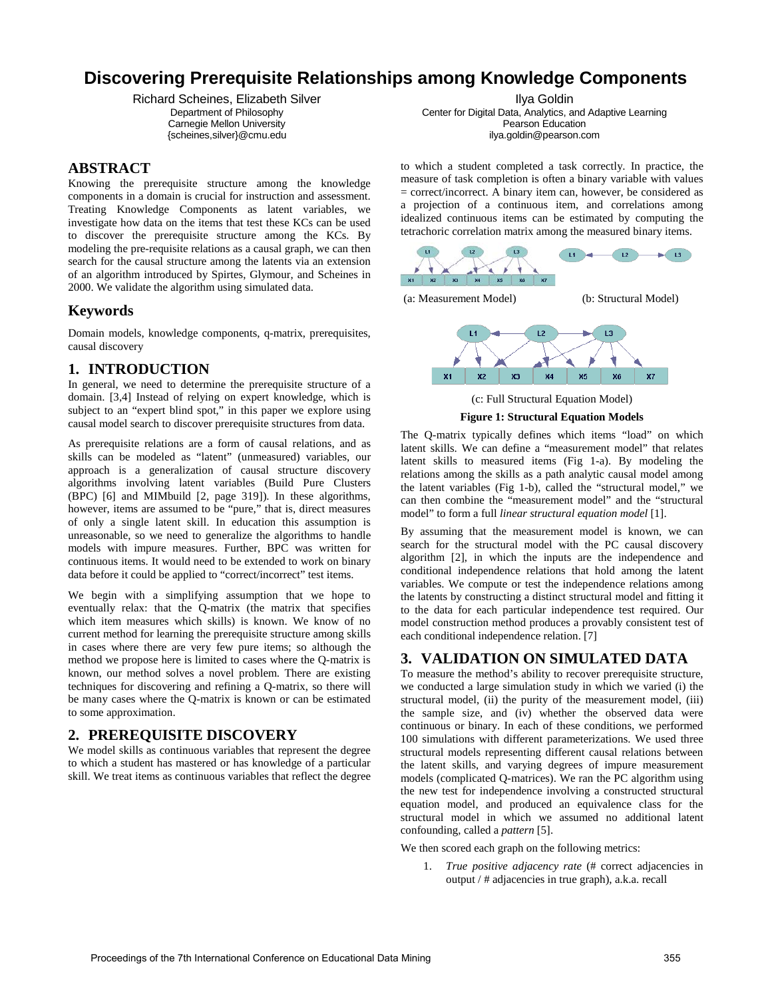# **Discovering Prerequisite Relationships among Knowledge Components**

Richard Scheines, Elizabeth Silver Department of Philosophy Carnegie Mellon University {scheines,silver}@cmu.edu

#### **ABSTRACT**

Knowing the prerequisite structure among the knowledge components in a domain is crucial for instruction and assessment. Treating Knowledge Components as latent variables, we investigate how data on the items that test these KCs can be used to discover the prerequisite structure among the KCs. By modeling the pre-requisite relations as a causal graph, we can then search for the causal structure among the latents via an extension of an algorithm introduced by Spirtes, Glymour, and Scheines in 2000. We validate the algorithm using simulated data.

# **Keywords**

Domain models, knowledge components, q-matrix, prerequisites, causal discovery

# **1. INTRODUCTION**

In general, we need to determine the prerequisite structure of a domain. [3,4] Instead of relying on expert knowledge, which is subject to an "expert blind spot," in this paper we explore using causal model search to discover prerequisite structures from data.

As prerequisite relations are a form of causal relations, and as skills can be modeled as "latent" (unmeasured) variables, our approach is a generalization of causal structure discovery algorithms involving latent variables (Build Pure Clusters (BPC) [\[](#page-1-0)6] and MIMbuild [2, page 319]). In these algorithms, however, items are assumed to be "pure," that is, direct measures of only a single latent skill. In education this assumption is unreasonable, so we need to generalize the algorithms to handle models with impure measures. Further, BPC was written for continuous items. It would need to be extended to work on binary data before it could be applied to "correct/incorrect" test items.

We begin with a simplifying assumption that we hope to eventually relax: that the Q-matrix (the matrix that specifies which item measures which skills) is known. We know of no current method for learning the prerequisite structure among skills in cases where there are very few pure items; so although the method we propose here is limited to cases where the Q-matrix is known, our method solves a novel problem. There are existing techniques for discovering and refining a Q-matrix, so there will be many cases where the Q-matrix is known or can be estimated to some approximation.

# **2. PREREQUISITE DISCOVERY**

We model skills as continuous variables that represent the degree to which a student has mastered or has knowledge of a particular skill. We treat items as continuous variables that reflect the degree

Ilya Goldin Center for Digital Data, Analytics, and Adaptive Learning Pearson Education ilya.goldin@pearson.com

to which a student completed a task correctly. In practice, the measure of task completion is often a binary variable with values = correct/incorrect. A binary item can, however, be considered as a projection of a continuous item, and correlations among idealized continuous items can be estimated by computing the tetrachoric correlation matrix among the measured binary items.





(c: Full Structural Equation Model)

**Figure 1: Structural Equation Models**

The Q-matrix typically defines which items "load" on which latent skills. We can define a "measurement model" that relates latent skills to measured items (Fig 1-a). By modeling the relations among the skills as a path analytic causal model among the latent variables (Fig 1-b), called the "structural model," we can then combine the "measurement model" and the "structural model" to form a full *linear structural equation model* [1].

By assuming that the measurement model is known, we can search for the structural model with the PC causal discovery algorithm [2], in which the inputs are the independence and conditional independence relations that hold among the latent variables. We compute or test the independence relations among the latents by constructing a distinct structural model and fitting it to the data for each particular independence test required. Our model construction method produces a provably consistent test of each conditional independence relation. [7]

# **3. VALIDATION ON SIMULATED DATA**

To measure the method's ability to recover prerequisite structure, we conducted a large simulation study in which we varied (i) the structural model, (ii) the purity of the measurement model, (iii) the sample size, and (iv) whether the observed data were continuous or binary. In each of these conditions, we performed 100 simulations with different parameterizations. We used three structural models representing different causal relations between the latent skills, and varying degrees of impure measurement models (complicated Q-matrices). We ran the PC algorithm using the new test for independence involving a constructed structural equation model, and produced an equivalence class for the structural model in which we assumed no additional latent confounding, called a *pattern* [5].

We then scored each graph on the following metrics:

1. *True positive adjacency rate* (# correct adjacencies in output / # adjacencies in true graph), a.k.a. recall